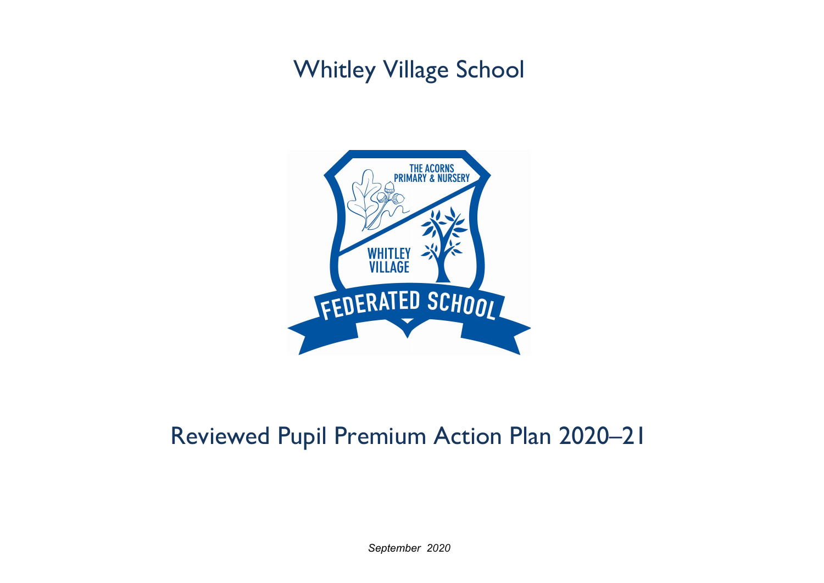## Whitley Village School



## Reviewed Pupil Premium Action Plan 2020–21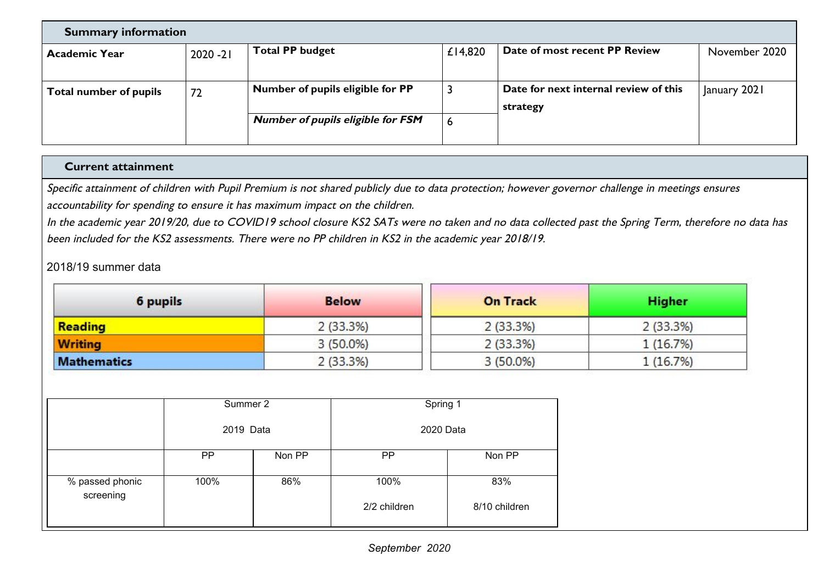| <b>Summary information</b>    |             |                                          |         |                                       |               |  |
|-------------------------------|-------------|------------------------------------------|---------|---------------------------------------|---------------|--|
| <b>Academic Year</b>          | $2020 - 21$ | <b>Total PP budget</b>                   | £14,820 | Date of most recent PP Review         | November 2020 |  |
|                               |             |                                          |         |                                       |               |  |
| <b>Total number of pupils</b> | 72          | Number of pupils eligible for PP         |         | Date for next internal review of this | January 2021  |  |
|                               |             |                                          |         | strategy                              |               |  |
|                               |             | <b>Number of pupils eligible for FSM</b> | 6       |                                       |               |  |
|                               |             |                                          |         |                                       |               |  |

## **Current attainment**

Specific attainment of children with Pupil Premium is not shared publicly due to data protection; however governor challenge in meetings ensures accountability for spending to ensure it has maximum impact on the children.

In the academic year 2019/20, due to COVID19 school closure KS2 SATs were no taken and no data collected past the Spring Term, therefore no data has been included for the KS2 assessments. There were no PP children in KS2 in the academic year 2018/19.

## 2018/19 summer data

| 6 pupils           | <b>Below</b> | <b>On Track</b> | <b>Higher</b> |
|--------------------|--------------|-----------------|---------------|
| <b>Reading</b>     | 2(33.3%)     | 2(33.3%)        | 2(33.3%)      |
| <b>Writing</b>     | $3(50.0\%)$  | 2(33.3%)        | 1(16.7%)      |
| <b>Mathematics</b> | 2(33.3%)     | $3(50.0\%)$     | 1(16.7%)      |

|                              | Summer 2  |        | Spring 1             |                      |  |
|------------------------------|-----------|--------|----------------------|----------------------|--|
|                              | 2019 Data |        | 2020 Data            |                      |  |
|                              | PP        | Non PP | <b>PP</b>            | Non PP               |  |
| % passed phonic<br>screening | 100%      | 86%    | 100%<br>2/2 children | 83%<br>8/10 children |  |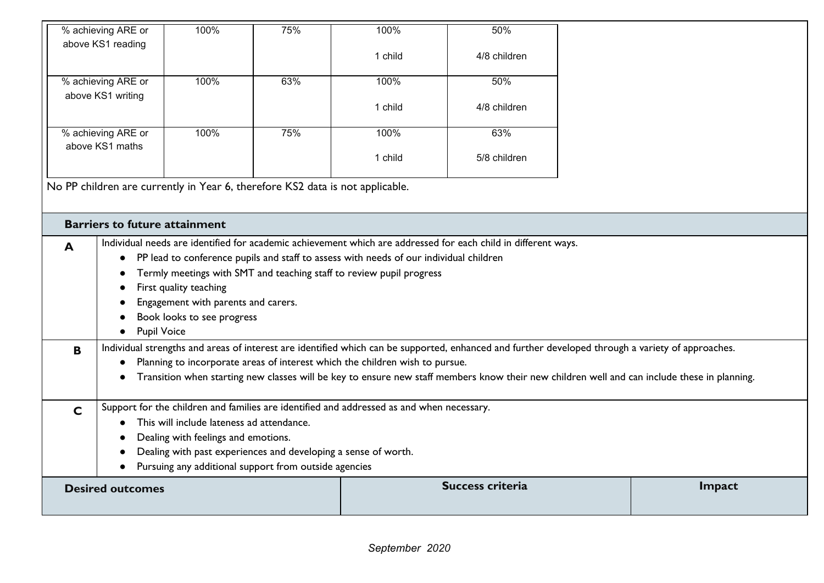| % achieving ARE or                                                            | 100%                                                           | 75% | 100%                                                                                      | 50%                                                                                                                                               |        |  |  |
|-------------------------------------------------------------------------------|----------------------------------------------------------------|-----|-------------------------------------------------------------------------------------------|---------------------------------------------------------------------------------------------------------------------------------------------------|--------|--|--|
| above KS1 reading                                                             |                                                                |     | 1 child                                                                                   | 4/8 children                                                                                                                                      |        |  |  |
|                                                                               |                                                                |     |                                                                                           |                                                                                                                                                   |        |  |  |
| % achieving ARE or                                                            | 100%                                                           | 63% | 100%                                                                                      | 50%                                                                                                                                               |        |  |  |
| above KS1 writing                                                             |                                                                |     | 1 child                                                                                   | 4/8 children                                                                                                                                      |        |  |  |
|                                                                               |                                                                |     |                                                                                           |                                                                                                                                                   |        |  |  |
| % achieving ARE or                                                            | 100%                                                           | 75% | 100%                                                                                      | 63%                                                                                                                                               |        |  |  |
| above KS1 maths                                                               |                                                                |     |                                                                                           |                                                                                                                                                   |        |  |  |
|                                                                               |                                                                |     | 1 child                                                                                   | 5/8 children                                                                                                                                      |        |  |  |
| No PP children are currently in Year 6, therefore KS2 data is not applicable. |                                                                |     |                                                                                           |                                                                                                                                                   |        |  |  |
|                                                                               |                                                                |     |                                                                                           |                                                                                                                                                   |        |  |  |
|                                                                               |                                                                |     |                                                                                           |                                                                                                                                                   |        |  |  |
| <b>Barriers to future attainment</b>                                          |                                                                |     |                                                                                           |                                                                                                                                                   |        |  |  |
| A                                                                             |                                                                |     |                                                                                           | Individual needs are identified for academic achievement which are addressed for each child in different ways.                                    |        |  |  |
| $\bullet$                                                                     |                                                                |     | PP lead to conference pupils and staff to assess with needs of our individual children    |                                                                                                                                                   |        |  |  |
|                                                                               |                                                                |     | Termly meetings with SMT and teaching staff to review pupil progress                      |                                                                                                                                                   |        |  |  |
|                                                                               | First quality teaching                                         |     |                                                                                           |                                                                                                                                                   |        |  |  |
|                                                                               | Engagement with parents and carers.                            |     |                                                                                           |                                                                                                                                                   |        |  |  |
|                                                                               | Book looks to see progress                                     |     |                                                                                           |                                                                                                                                                   |        |  |  |
| <b>Pupil Voice</b>                                                            |                                                                |     |                                                                                           |                                                                                                                                                   |        |  |  |
| B                                                                             |                                                                |     |                                                                                           | Individual strengths and areas of interest are identified which can be supported, enhanced and further developed through a variety of approaches. |        |  |  |
|                                                                               |                                                                |     | Planning to incorporate areas of interest which the children wish to pursue.              |                                                                                                                                                   |        |  |  |
|                                                                               |                                                                |     |                                                                                           | Transition when starting new classes will be key to ensure new staff members know their new children well and can include these in planning.      |        |  |  |
|                                                                               |                                                                |     |                                                                                           |                                                                                                                                                   |        |  |  |
| $\mathbf C$                                                                   |                                                                |     | Support for the children and families are identified and addressed as and when necessary. |                                                                                                                                                   |        |  |  |
|                                                                               | This will include lateness ad attendance.                      |     |                                                                                           |                                                                                                                                                   |        |  |  |
|                                                                               | Dealing with feelings and emotions.                            |     |                                                                                           |                                                                                                                                                   |        |  |  |
|                                                                               | Dealing with past experiences and developing a sense of worth. |     |                                                                                           |                                                                                                                                                   |        |  |  |
|                                                                               | Pursuing any additional support from outside agencies          |     |                                                                                           |                                                                                                                                                   |        |  |  |
| <b>Desired outcomes</b>                                                       |                                                                |     |                                                                                           | <b>Success criteria</b>                                                                                                                           | Impact |  |  |
|                                                                               |                                                                |     |                                                                                           |                                                                                                                                                   |        |  |  |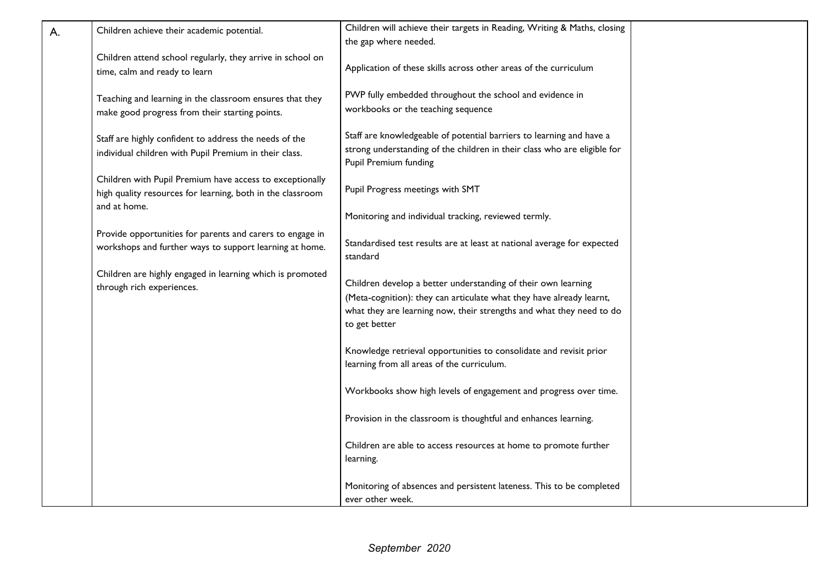| А. | Children achieve their academic potential.                 | Children will achieve their targets in Reading, Writing & Maths, closing |  |
|----|------------------------------------------------------------|--------------------------------------------------------------------------|--|
|    |                                                            | the gap where needed.                                                    |  |
|    |                                                            |                                                                          |  |
|    | Children attend school regularly, they arrive in school on | Application of these skills across other areas of the curriculum         |  |
|    | time, calm and ready to learn                              |                                                                          |  |
|    |                                                            | PWP fully embedded throughout the school and evidence in                 |  |
|    | Teaching and learning in the classroom ensures that they   | workbooks or the teaching sequence                                       |  |
|    | make good progress from their starting points.             |                                                                          |  |
|    | Staff are highly confident to address the needs of the     | Staff are knowledgeable of potential barriers to learning and have a     |  |
|    |                                                            | strong understanding of the children in their class who are eligible for |  |
|    | individual children with Pupil Premium in their class.     | Pupil Premium funding                                                    |  |
|    | Children with Pupil Premium have access to exceptionally   |                                                                          |  |
|    | high quality resources for learning, both in the classroom | Pupil Progress meetings with SMT                                         |  |
|    | and at home.                                               |                                                                          |  |
|    |                                                            | Monitoring and individual tracking, reviewed termly.                     |  |
|    | Provide opportunities for parents and carers to engage in  |                                                                          |  |
|    |                                                            | Standardised test results are at least at national average for expected  |  |
|    | workshops and further ways to support learning at home.    | standard                                                                 |  |
|    |                                                            |                                                                          |  |
|    | Children are highly engaged in learning which is promoted  | Children develop a better understanding of their own learning            |  |
|    | through rich experiences.                                  | (Meta-cognition): they can articulate what they have already learnt,     |  |
|    |                                                            | what they are learning now, their strengths and what they need to do     |  |
|    |                                                            | to get better                                                            |  |
|    |                                                            |                                                                          |  |
|    |                                                            | Knowledge retrieval opportunities to consolidate and revisit prior       |  |
|    |                                                            | learning from all areas of the curriculum.                               |  |
|    |                                                            |                                                                          |  |
|    |                                                            | Workbooks show high levels of engagement and progress over time.         |  |
|    |                                                            |                                                                          |  |
|    |                                                            | Provision in the classroom is thoughtful and enhances learning.          |  |
|    |                                                            |                                                                          |  |
|    |                                                            | Children are able to access resources at home to promote further         |  |
|    |                                                            | learning.                                                                |  |
|    |                                                            |                                                                          |  |
|    |                                                            | Monitoring of absences and persistent lateness. This to be completed     |  |
|    |                                                            | ever other week.                                                         |  |
|    |                                                            |                                                                          |  |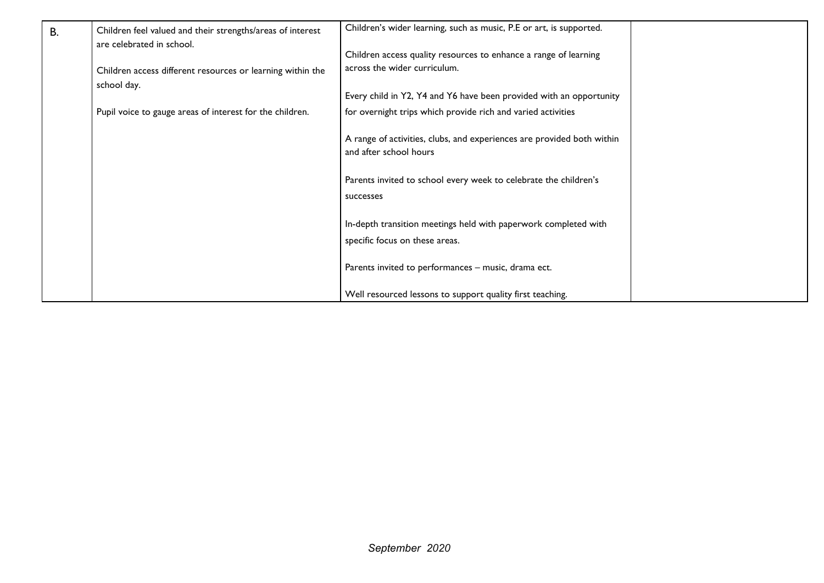| <b>B.</b> | Children feel valued and their strengths/areas of interest<br>are celebrated in school. | Children's wider learning, such as music, P.E or art, is supported.                              |  |
|-----------|-----------------------------------------------------------------------------------------|--------------------------------------------------------------------------------------------------|--|
|           |                                                                                         | Children access quality resources to enhance a range of learning                                 |  |
|           | Children access different resources or learning within the<br>school day.               | across the wider curriculum.                                                                     |  |
|           |                                                                                         | Every child in Y2, Y4 and Y6 have been provided with an opportunity                              |  |
|           | Pupil voice to gauge areas of interest for the children.                                | for overnight trips which provide rich and varied activities                                     |  |
|           |                                                                                         | A range of activities, clubs, and experiences are provided both within<br>and after school hours |  |
|           |                                                                                         | Parents invited to school every week to celebrate the children's<br>successes                    |  |
|           |                                                                                         | In-depth transition meetings held with paperwork completed with                                  |  |
|           |                                                                                         | specific focus on these areas.                                                                   |  |
|           |                                                                                         | Parents invited to performances - music, drama ect.                                              |  |
|           |                                                                                         | Well resourced lessons to support quality first teaching.                                        |  |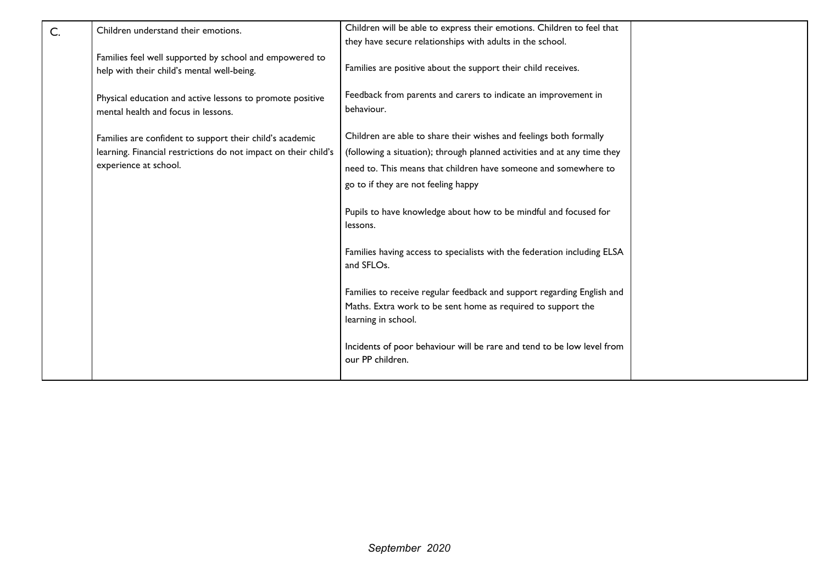| C. | Children understand their emotions.                                                                   | Children will be able to express their emotions. Children to feel that                                                                                        |  |
|----|-------------------------------------------------------------------------------------------------------|---------------------------------------------------------------------------------------------------------------------------------------------------------------|--|
|    |                                                                                                       | they have secure relationships with adults in the school.                                                                                                     |  |
|    | Families feel well supported by school and empowered to<br>help with their child's mental well-being. | Families are positive about the support their child receives.                                                                                                 |  |
|    | Physical education and active lessons to promote positive<br>mental health and focus in lessons.      | Feedback from parents and carers to indicate an improvement in<br>behaviour.                                                                                  |  |
|    | Families are confident to support their child's academic                                              | Children are able to share their wishes and feelings both formally                                                                                            |  |
|    | learning. Financial restrictions do not impact on their child's                                       | (following a situation); through planned activities and at any time they                                                                                      |  |
|    | experience at school.                                                                                 | need to. This means that children have someone and somewhere to                                                                                               |  |
|    |                                                                                                       | go to if they are not feeling happy                                                                                                                           |  |
|    |                                                                                                       | Pupils to have knowledge about how to be mindful and focused for<br>lessons.                                                                                  |  |
|    |                                                                                                       | Families having access to specialists with the federation including ELSA<br>and SFLOs.                                                                        |  |
|    |                                                                                                       | Families to receive regular feedback and support regarding English and<br>Maths. Extra work to be sent home as required to support the<br>learning in school. |  |
|    |                                                                                                       | Incidents of poor behaviour will be rare and tend to be low level from<br>our PP children.                                                                    |  |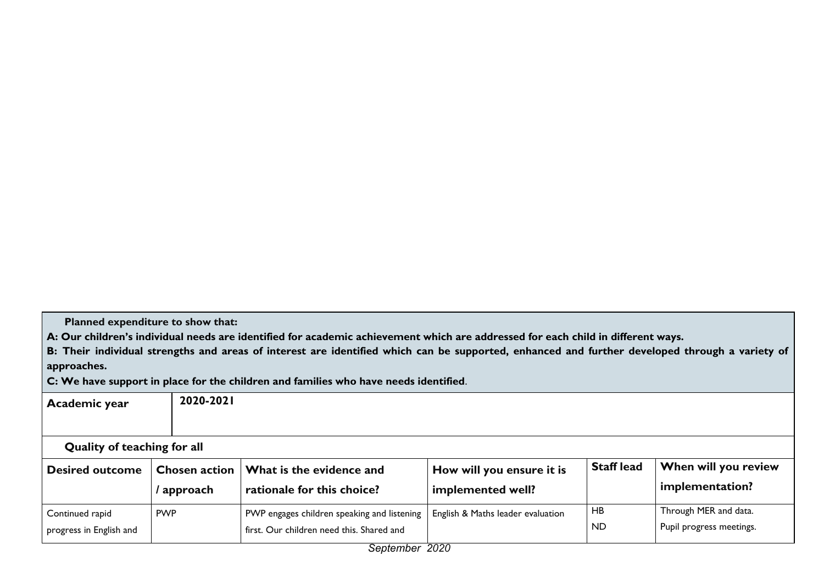**Planned expenditure to show that:**

A: Our children's individual needs are identified for academic achievement which are addressed for each child in different ways.

B: Their individual strengths and areas of interest are identified which can be supported, enhanced and further developed through a variety of **approaches.**

**C: We have support in place for the children and families who have needs identified**.

| Academic year                      | 2020-2021            |                                                             |                                   |                   |                          |  |
|------------------------------------|----------------------|-------------------------------------------------------------|-----------------------------------|-------------------|--------------------------|--|
|                                    |                      |                                                             |                                   |                   |                          |  |
| <b>Quality of teaching for all</b> |                      |                                                             |                                   |                   |                          |  |
| <b>Desired outcome</b>             | <b>Chosen action</b> | What is the evidence and                                    | How will you ensure it is         | <b>Staff lead</b> | When will you review     |  |
|                                    | approach             | rationale for this choice?                                  | implemented well?                 |                   | implementation?          |  |
| Continued rapid                    | <b>PWP</b>           | PWP engages children speaking and listening                 | English & Maths leader evaluation | HB                | Through MER and data.    |  |
| progress in English and            |                      | first. Our children need this. Shared and<br>Cantamber 2020 |                                   | ND.               | Pupil progress meetings. |  |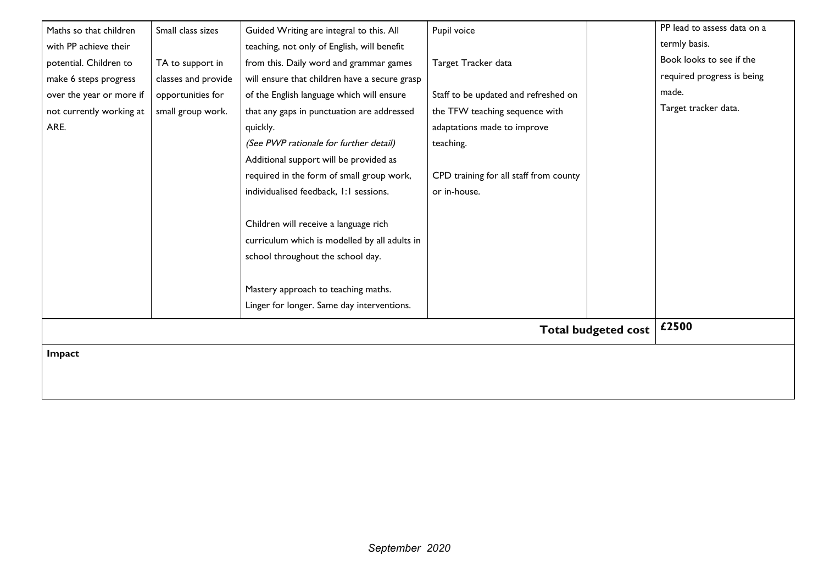| Maths so that children   | Small class sizes   | Guided Writing are integral to this. All      | Pupil voice                            | PP lead to assess data on a |
|--------------------------|---------------------|-----------------------------------------------|----------------------------------------|-----------------------------|
| with PP achieve their    |                     | teaching, not only of English, will benefit   |                                        | termly basis.               |
| potential. Children to   | TA to support in    | from this. Daily word and grammar games       | Target Tracker data                    | Book looks to see if the    |
| make 6 steps progress    | classes and provide | will ensure that children have a secure grasp |                                        | required progress is being  |
| over the year or more if | opportunities for   | of the English language which will ensure     | Staff to be updated and refreshed on   | made.                       |
| not currently working at | small group work.   | that any gaps in punctuation are addressed    | the TFW teaching sequence with         | Target tracker data.        |
| ARE.                     |                     | quickly.                                      | adaptations made to improve            |                             |
|                          |                     | (See PWP rationale for further detail)        | teaching.                              |                             |
|                          |                     | Additional support will be provided as        |                                        |                             |
|                          |                     | required in the form of small group work,     | CPD training for all staff from county |                             |
|                          |                     | individualised feedback, 1:1 sessions.        | or in-house.                           |                             |
|                          |                     |                                               |                                        |                             |
|                          |                     | Children will receive a language rich         |                                        |                             |
|                          |                     | curriculum which is modelled by all adults in |                                        |                             |
|                          |                     | school throughout the school day.             |                                        |                             |
|                          |                     |                                               |                                        |                             |
|                          |                     | Mastery approach to teaching maths.           |                                        |                             |
|                          |                     | Linger for longer. Same day interventions.    |                                        |                             |
|                          |                     |                                               | <b>Total budgeted cost</b>             | £2500                       |
|                          |                     |                                               |                                        |                             |
| <b>Impact</b>            |                     |                                               |                                        |                             |
|                          |                     |                                               |                                        |                             |
|                          |                     |                                               |                                        |                             |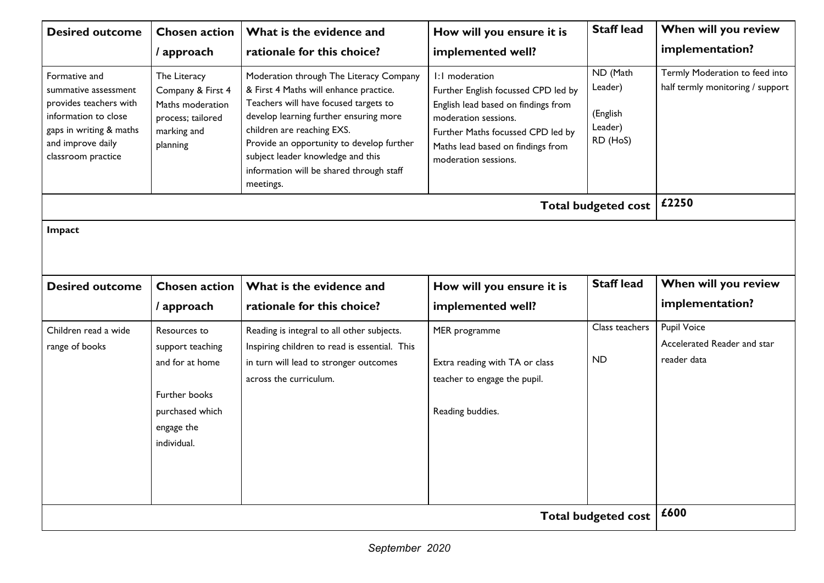| <b>Desired outcome</b>                                                                                                                                        | <b>Chosen action</b>                                                                                  | What is the evidence and                                                                                                                                                                                                                                                                                                                      | How will you ensure it is                                                                                                                                                                                              | <b>Staff lead</b>                                      | When will you review                                               |  |  |
|---------------------------------------------------------------------------------------------------------------------------------------------------------------|-------------------------------------------------------------------------------------------------------|-----------------------------------------------------------------------------------------------------------------------------------------------------------------------------------------------------------------------------------------------------------------------------------------------------------------------------------------------|------------------------------------------------------------------------------------------------------------------------------------------------------------------------------------------------------------------------|--------------------------------------------------------|--------------------------------------------------------------------|--|--|
|                                                                                                                                                               | / approach                                                                                            | rationale for this choice?                                                                                                                                                                                                                                                                                                                    | implemented well?                                                                                                                                                                                                      |                                                        | implementation?                                                    |  |  |
| Formative and<br>summative assessment<br>provides teachers with<br>information to close<br>gaps in writing & maths<br>and improve daily<br>classroom practice | The Literacy<br>Company & First 4<br>Maths moderation<br>process; tailored<br>marking and<br>planning | Moderation through The Literacy Company<br>& First 4 Maths will enhance practice.<br>Teachers will have focused targets to<br>develop learning further ensuring more<br>children are reaching EXS.<br>Provide an opportunity to develop further<br>subject leader knowledge and this<br>information will be shared through staff<br>meetings. | I:I moderation<br>Further English focussed CPD led by<br>English lead based on findings from<br>moderation sessions.<br>Further Maths focussed CPD led by<br>Maths lead based on findings from<br>moderation sessions. | ND (Math<br>Leader)<br>(English<br>Leader)<br>RD (HoS) | Termly Moderation to feed into<br>half termly monitoring / support |  |  |
|                                                                                                                                                               |                                                                                                       |                                                                                                                                                                                                                                                                                                                                               |                                                                                                                                                                                                                        | <b>Total budgeted cost</b>                             | £2250                                                              |  |  |
| Impact                                                                                                                                                        |                                                                                                       |                                                                                                                                                                                                                                                                                                                                               |                                                                                                                                                                                                                        |                                                        |                                                                    |  |  |
| <b>Desired outcome</b>                                                                                                                                        | <b>Chosen action</b>                                                                                  | What is the evidence and                                                                                                                                                                                                                                                                                                                      | How will you ensure it is                                                                                                                                                                                              | <b>Staff lead</b>                                      | When will you review                                               |  |  |
|                                                                                                                                                               | / approach                                                                                            | rationale for this choice?                                                                                                                                                                                                                                                                                                                    | implemented well?                                                                                                                                                                                                      |                                                        | implementation?                                                    |  |  |
| Children read a wide                                                                                                                                          | Resources to                                                                                          | Reading is integral to all other subjects.                                                                                                                                                                                                                                                                                                    | MER programme                                                                                                                                                                                                          | Class teachers                                         | Pupil Voice<br>Accelerated Reader and star                         |  |  |
| range of books                                                                                                                                                | support teaching<br>and for at home<br>Further books<br>purchased which<br>engage the<br>individual.  | Inspiring children to read is essential. This<br>in turn will lead to stronger outcomes<br>across the curriculum.                                                                                                                                                                                                                             | Extra reading with TA or class<br>teacher to engage the pupil.<br>Reading buddies.                                                                                                                                     | ND                                                     | reader data                                                        |  |  |
|                                                                                                                                                               |                                                                                                       |                                                                                                                                                                                                                                                                                                                                               |                                                                                                                                                                                                                        | <b>Total budgeted cost</b>                             | £600                                                               |  |  |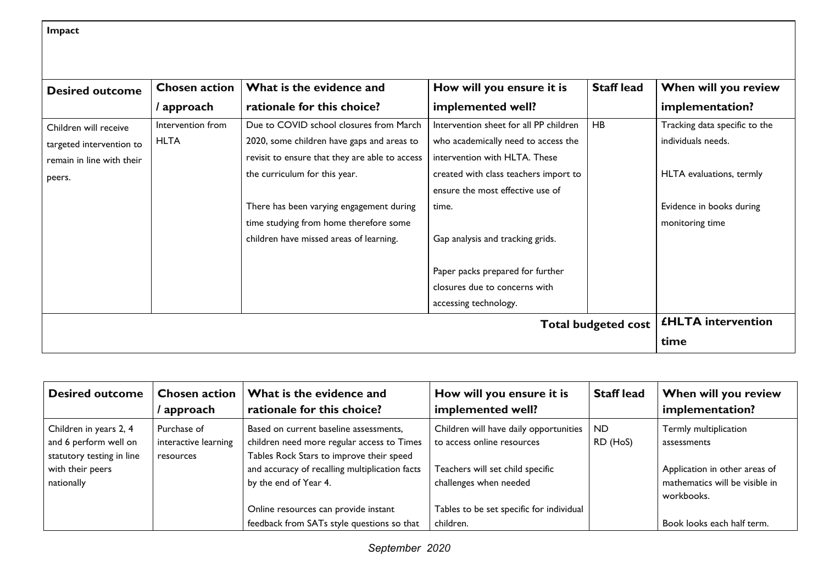**Impact**

| <b>Desired outcome</b>    | <b>Chosen action</b>      | What is the evidence and                       | How will you ensure it is              | <b>Staff lead</b> | When will you review          |
|---------------------------|---------------------------|------------------------------------------------|----------------------------------------|-------------------|-------------------------------|
|                           | / approach                | rationale for this choice?                     | implemented well?                      |                   | implementation?               |
| Children will receive     | Intervention from         | Due to COVID school closures from March        | Intervention sheet for all PP children | <b>HB</b>         | Tracking data specific to the |
| targeted intervention to  | <b>HLTA</b>               | 2020, some children have gaps and areas to     | who academically need to access the    |                   | individuals needs.            |
| remain in line with their |                           | revisit to ensure that they are able to access | intervention with HLTA. These          |                   |                               |
| peers.                    |                           | the curriculum for this year.                  | created with class teachers import to  |                   | HLTA evaluations, termly      |
|                           |                           |                                                | ensure the most effective use of       |                   |                               |
|                           |                           | There has been varying engagement during       | time.                                  |                   | Evidence in books during      |
|                           |                           | time studying from home therefore some         |                                        |                   | monitoring time               |
|                           |                           | children have missed areas of learning.        | Gap analysis and tracking grids.       |                   |                               |
|                           |                           |                                                | Paper packs prepared for further       |                   |                               |
|                           |                           |                                                | closures due to concerns with          |                   |                               |
|                           |                           |                                                | accessing technology.                  |                   |                               |
|                           | <b>£HLTA</b> intervention |                                                |                                        |                   |                               |
|                           |                           | time                                           |                                        |                   |                               |

| <b>Desired outcome</b>                                                                                         | <b>Chosen action</b><br>' approach               | What is the evidence and<br>rationale for this choice?                                                                                                                                                      | How will you ensure it is<br>implemented well?                                                                                       | <b>Staff lead</b>     | When will you review<br>implementation?                                                                               |
|----------------------------------------------------------------------------------------------------------------|--------------------------------------------------|-------------------------------------------------------------------------------------------------------------------------------------------------------------------------------------------------------------|--------------------------------------------------------------------------------------------------------------------------------------|-----------------------|-----------------------------------------------------------------------------------------------------------------------|
| Children in years 2, 4<br>and 6 perform well on<br>statutory testing in line<br>with their peers<br>nationally | Purchase of<br>interactive learning<br>resources | Based on current baseline assessments,<br>children need more regular access to Times<br>Tables Rock Stars to improve their speed<br>and accuracy of recalling multiplication facts<br>by the end of Year 4. | Children will have daily opportunities  <br>to access online resources<br>Teachers will set child specific<br>challenges when needed | <b>ND</b><br>RD (HoS) | Termly multiplication<br>assessments<br>Application in other areas of<br>mathematics will be visible in<br>workbooks. |
|                                                                                                                |                                                  | Online resources can provide instant<br>feedback from SATs style questions so that                                                                                                                          | Tables to be set specific for individual<br>children.                                                                                |                       | Book looks each half term.                                                                                            |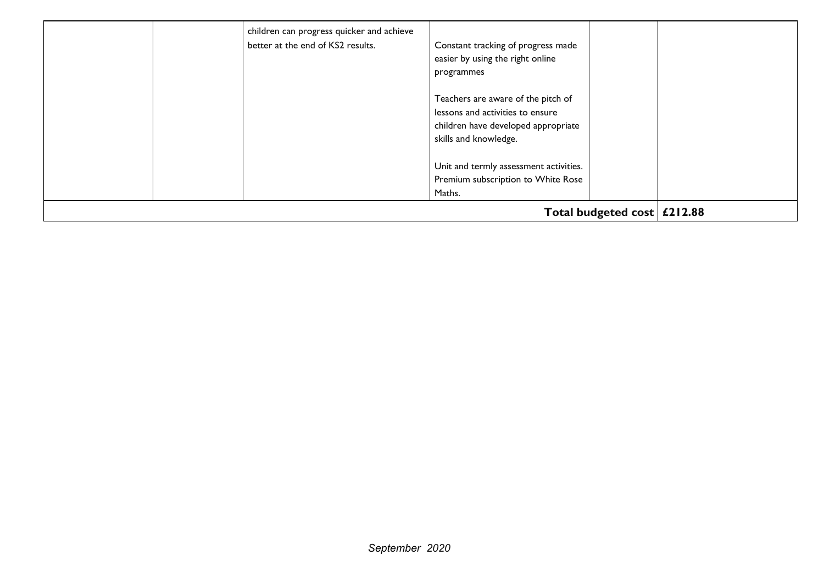|  | children can progress quicker and achieve<br>better at the end of KS2 results. | Constant tracking of progress made<br>easier by using the right online<br>programmes                                                   |  |
|--|--------------------------------------------------------------------------------|----------------------------------------------------------------------------------------------------------------------------------------|--|
|  |                                                                                | Teachers are aware of the pitch of<br>lessons and activities to ensure<br>children have developed appropriate<br>skills and knowledge. |  |
|  |                                                                                | Unit and termly assessment activities.<br>Premium subscription to White Rose<br>Maths.                                                 |  |
|  | Total budgeted cost $\vert$ £212.88                                            |                                                                                                                                        |  |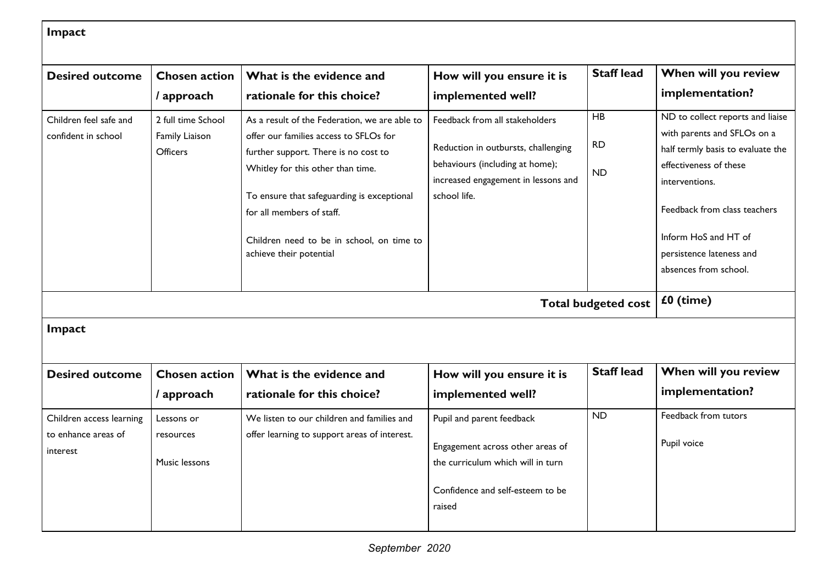|                                                             |                                          |                                                                                                                                                                                                                                                                        |                                                                                                                               | <b>Staff lead</b>      |                                                                                                                                                                                                                           |  |
|-------------------------------------------------------------|------------------------------------------|------------------------------------------------------------------------------------------------------------------------------------------------------------------------------------------------------------------------------------------------------------------------|-------------------------------------------------------------------------------------------------------------------------------|------------------------|---------------------------------------------------------------------------------------------------------------------------------------------------------------------------------------------------------------------------|--|
| <b>Desired outcome</b>                                      | <b>Chosen action</b>                     | What is the evidence and                                                                                                                                                                                                                                               | How will you ensure it is                                                                                                     |                        | When will you review                                                                                                                                                                                                      |  |
|                                                             | / approach                               | rationale for this choice?                                                                                                                                                                                                                                             | implemented well?                                                                                                             |                        | implementation?                                                                                                                                                                                                           |  |
| Children feel safe and                                      | 2 full time School                       | As a result of the Federation, we are able to                                                                                                                                                                                                                          | Feedback from all stakeholders                                                                                                | HB                     | ND to collect reports and liaise                                                                                                                                                                                          |  |
| confident in school                                         | Family Liaison<br>Officers               | offer our families access to SFLOs for<br>further support. There is no cost to<br>Whitley for this other than time.<br>To ensure that safeguarding is exceptional<br>for all members of staff.<br>Children need to be in school, on time to<br>achieve their potential | Reduction in outbursts, challenging<br>behaviours (including at home);<br>increased engagement in lessons and<br>school life. | <b>RD</b><br><b>ND</b> | with parents and SFLOs on a<br>half termly basis to evaluate the<br>effectiveness of these<br>interventions.<br>Feedback from class teachers<br>Inform HoS and HT of<br>persistence lateness and<br>absences from school. |  |
| <b>Total budgeted cost</b>                                  |                                          |                                                                                                                                                                                                                                                                        |                                                                                                                               |                        | £0 (time)                                                                                                                                                                                                                 |  |
| Impact                                                      |                                          |                                                                                                                                                                                                                                                                        |                                                                                                                               |                        |                                                                                                                                                                                                                           |  |
| <b>Desired outcome</b>                                      | <b>Chosen action</b>                     | What is the evidence and                                                                                                                                                                                                                                               | How will you ensure it is                                                                                                     | <b>Staff lead</b>      | When will you review                                                                                                                                                                                                      |  |
|                                                             | / approach                               | rationale for this choice?                                                                                                                                                                                                                                             | implemented well?                                                                                                             |                        | implementation?                                                                                                                                                                                                           |  |
| Children access learning<br>to enhance areas of<br>interest | Lessons or<br>resources<br>Music lessons | We listen to our children and families and<br>offer learning to support areas of interest.                                                                                                                                                                             | Pupil and parent feedback<br>Engagement across other areas of<br>the curriculum which will in turn                            | <b>ND</b>              | Feedback from tutors<br>Pupil voice                                                                                                                                                                                       |  |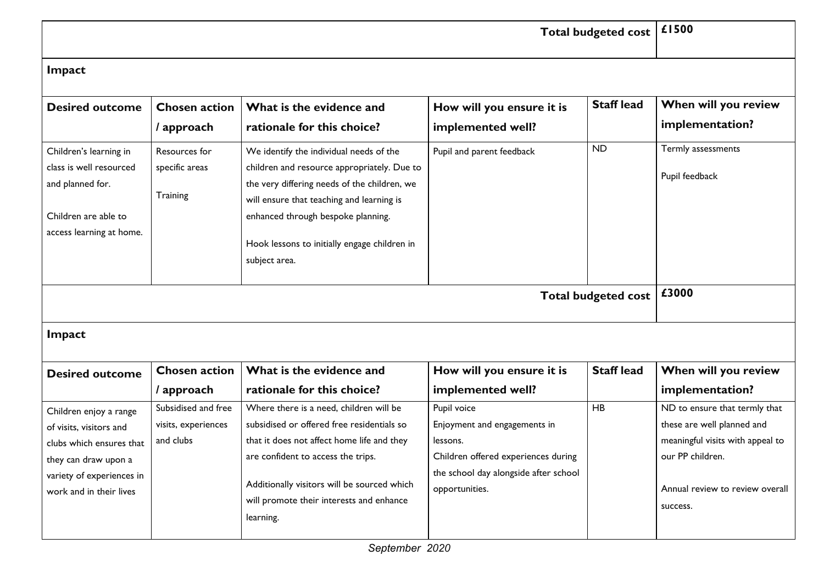| <b>Total budgeted cost</b>                                                                                                |                                             |                                                                                                                                                                                                                                                                                            |                                                |                   | £1500                                   |  |
|---------------------------------------------------------------------------------------------------------------------------|---------------------------------------------|--------------------------------------------------------------------------------------------------------------------------------------------------------------------------------------------------------------------------------------------------------------------------------------------|------------------------------------------------|-------------------|-----------------------------------------|--|
| Impact                                                                                                                    |                                             |                                                                                                                                                                                                                                                                                            |                                                |                   |                                         |  |
| <b>Desired outcome</b>                                                                                                    | <b>Chosen action</b><br>/ approach          | What is the evidence and<br>rationale for this choice?                                                                                                                                                                                                                                     | How will you ensure it is<br>implemented well? | <b>Staff lead</b> | When will you review<br>implementation? |  |
| Children's learning in<br>class is well resourced<br>and planned for.<br>Children are able to<br>access learning at home. | Resources for<br>specific areas<br>Training | We identify the individual needs of the<br>children and resource appropriately. Due to<br>the very differing needs of the children, we<br>will ensure that teaching and learning is<br>enhanced through bespoke planning.<br>Hook lessons to initially engage children in<br>subject area. | Pupil and parent feedback                      | <b>ND</b>         | Termly assessments<br>Pupil feedback    |  |
| <b>Total budgeted cost</b>                                                                                                |                                             |                                                                                                                                                                                                                                                                                            |                                                |                   | £3000                                   |  |
| Impact                                                                                                                    |                                             |                                                                                                                                                                                                                                                                                            |                                                |                   |                                         |  |
|                                                                                                                           |                                             |                                                                                                                                                                                                                                                                                            |                                                |                   |                                         |  |
| <b>Desired outcome</b>                                                                                                    | <b>Chosen action</b><br>/ approach          | What is the evidence and<br>rationale for this choice?                                                                                                                                                                                                                                     | How will you ensure it is<br>implemented well? | <b>Staff lead</b> | When will you review<br>implementation? |  |